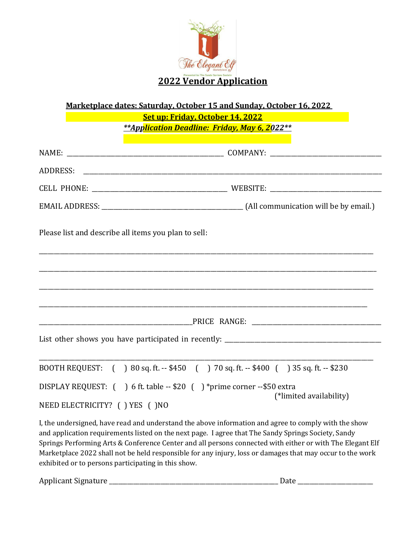

**Marketplace dates: Saturday, October 15 and Sunday, October 16, 2022** 

|                               | Set up: Friday, October 14, 2022<br>**Application Deadline: Friday, May 6, 2022**                                                                                                        |
|-------------------------------|------------------------------------------------------------------------------------------------------------------------------------------------------------------------------------------|
|                               |                                                                                                                                                                                          |
|                               |                                                                                                                                                                                          |
|                               |                                                                                                                                                                                          |
|                               |                                                                                                                                                                                          |
|                               | Please list and describe all items you plan to sell:                                                                                                                                     |
|                               |                                                                                                                                                                                          |
|                               |                                                                                                                                                                                          |
| NEED ELECTRICITY? () YES ()NO | BOOTH REQUEST: () 80 sq. ft. -- \$450 () 70 sq. ft. -- \$400 () 35 sq. ft. -- \$230<br>DISPLAY REQUEST: () 6 ft. table -- \$20 () *prime corner -- \$50 extra<br>(*limited availability) |

I, the undersigned, have read and understand the above information and agree to comply with the show and application requirements listed on the next page. I agree that The Sandy Springs Society, Sandy Springs Performing Arts & Conference Center and all persons connected with either or with The Elegant Elf Marketplace 2022 shall not be held responsible for any injury, loss or damages that may occur to the work exhibited or to persons participating in this show.

Applicant Signature \_\_\_\_\_\_\_\_\_\_\_\_\_\_\_\_\_\_\_\_\_\_\_\_\_\_\_\_\_\_\_\_\_\_\_\_\_\_\_\_\_\_\_\_\_\_\_\_\_\_\_\_\_\_\_\_ Date \_\_\_\_\_\_\_\_\_\_\_\_\_\_\_\_\_\_\_\_\_\_\_\_\_